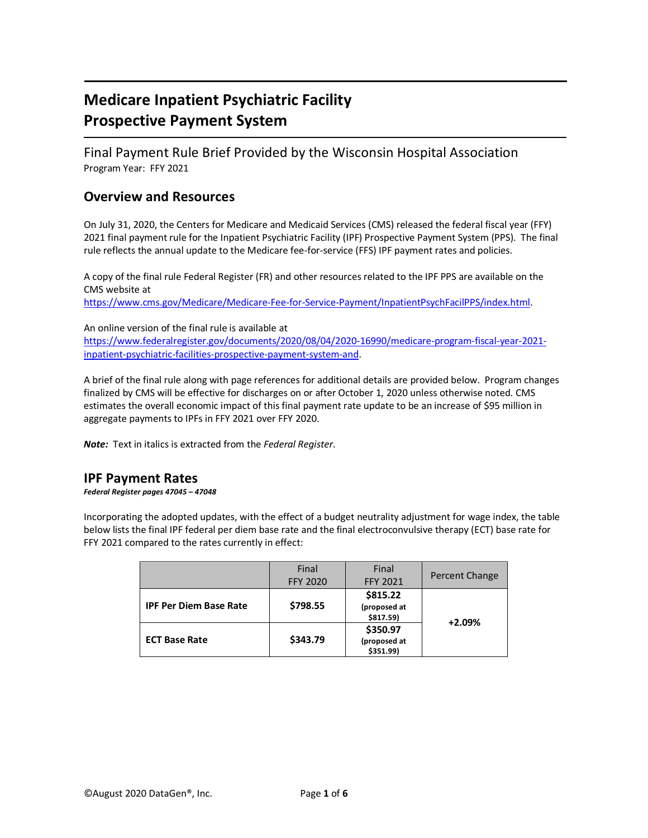# **Medicare Inpatient Psychiatric Facility Prospective Payment System**

Final Payment Rule Brief Provided by the Wisconsin Hospital Association Program Year: FFY 2021

## **Overview and Resources**

On July 31, 2020, the Centers for Medicare and Medicaid Services (CMS) released the federal fiscal year (FFY) 2021 final payment rule for the Inpatient Psychiatric Facility (IPF) Prospective Payment System (PPS). The final rule reflects the annual update to the Medicare fee-for-service (FFS) IPF payment rates and policies.

A copy of the final rule Federal Register (FR) and other resources related to the IPF PPS are available on the CMS website at

[https://www.cms.gov/Medicare/Medicare-Fee-for-Service-Payment/InpatientPsychFacilPPS/index.html.](https://www.cms.gov/Medicare/Medicare-Fee-for-Service-Payment/InpatientPsychFacilPPS/index.html)

An online version of the final rule is available at [https://www.federalregister.gov/documents/2020/08/04/2020-16990/medicare-program-fiscal-year-2021](https://www.federalregister.gov/documents/2020/08/04/2020-16990/medicare-program-fiscal-year-2021-inpatient-psychiatric-facilities-prospective-payment-system-and) [inpatient-psychiatric-facilities-prospective-payment-system-and.](https://www.federalregister.gov/documents/2020/08/04/2020-16990/medicare-program-fiscal-year-2021-inpatient-psychiatric-facilities-prospective-payment-system-and)

A brief of the final rule along with page references for additional details are provided below. Program changes finalized by CMS will be effective for discharges on or after October 1, 2020 unless otherwise noted. CMS estimates the overall economic impact of this final payment rate update to be an increase of \$95 million in aggregate payments to IPFs in FFY 2021 over FFY 2020.

*Note:* Text in italics is extracted from the *Federal Register*.

### **IPF Payment Rates**

*Federal Register pages 47045 – 47048*

Incorporating the adopted updates, with the effect of a budget neutrality adjustment for wage index, the table below lists the final IPF federal per diem base rate and the final electroconvulsive therapy (ECT) base rate for FFY 2021 compared to the rates currently in effect:

|                               | Final<br><b>FFY 2020</b> | Final<br><b>FFY 2021</b>              | Percent Change |  |
|-------------------------------|--------------------------|---------------------------------------|----------------|--|
| <b>IPF Per Diem Base Rate</b> | \$798.55                 | \$815.22<br>(proposed at<br>\$817.59) | $+2.09%$       |  |
| <b>ECT Base Rate</b>          | \$343.79                 | \$350.97<br>(proposed at<br>\$351.99) |                |  |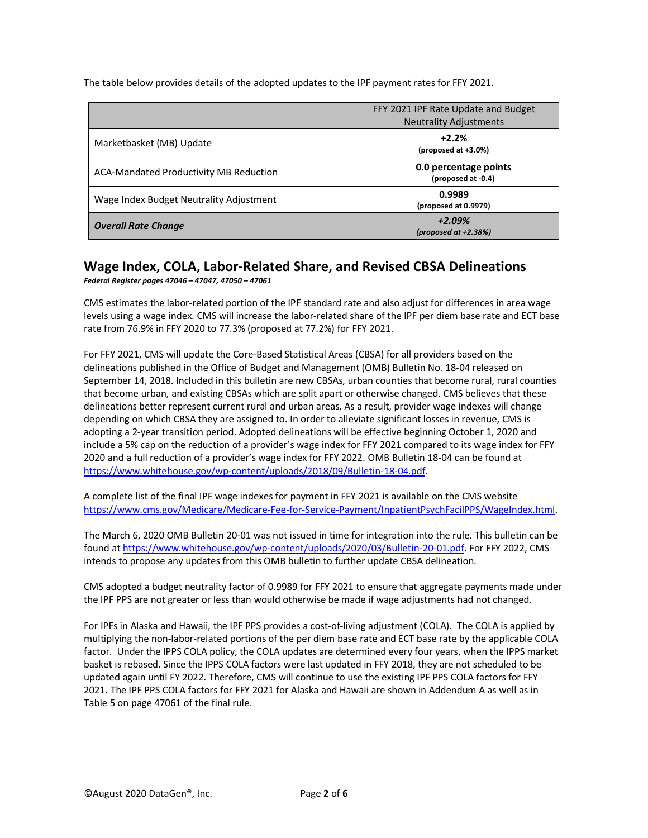The table below provides details of the adopted updates to the IPF payment rates for FFY 2021.

|                                               | FFY 2021 IPF Rate Update and Budget<br><b>Neutrality Adjustments</b> |
|-----------------------------------------------|----------------------------------------------------------------------|
| Marketbasket (MB) Update                      | $+2.2%$<br>(proposed at +3.0%)                                       |
| <b>ACA-Mandated Productivity MB Reduction</b> | 0.0 percentage points<br>(proposed at -0.4)                          |
| Wage Index Budget Neutrality Adjustment       | 0.9989<br>(proposed at 0.9979)                                       |
| <b>Overall Rate Change</b>                    | $+2.09%$<br>(proposed at $+2.38%$ )                                  |

#### **Wage Index, COLA, Labor-Related Share, and Revised CBSA Delineations** *Federal Register pages 47046 – 47047, 47050 – 47061*

CMS estimates the labor-related portion of the IPF standard rate and also adjust for differences in area wage levels using a wage index. CMS will increase the labor-related share of the IPF per diem base rate and ECT base rate from 76.9% in FFY 2020 to 77.3% (proposed at 77.2%) for FFY 2021.

For FFY 2021, CMS will update the Core-Based Statistical Areas (CBSA) for all providers based on the delineations published in the Office of Budget and Management (OMB) Bulletin No. 18-04 released on September 14, 2018. Included in this bulletin are new CBSAs, urban counties that become rural, rural counties that become urban, and existing CBSAs which are split apart or otherwise changed. CMS believes that these delineations better represent current rural and urban areas. As a result, provider wage indexes will change depending on which CBSA they are assigned to. In order to alleviate significant losses in revenue, CMS is adopting a 2-year transition period. Adopted delineations will be effective beginning October 1, 2020 and include a 5% cap on the reduction of a provider's wage index for FFY 2021 compared to its wage index for FFY 2020 and a full reduction of a provider's wage index for FFY 2022. OMB Bulletin 18-04 can be found at [https://www.whitehouse.gov/wp-content/uploads/2018/09/Bulletin-18-04.pdf.](https://www.whitehouse.gov/wp-content/uploads/2018/09/Bulletin-18-04.pdf)

A complete list of the final IPF wage indexes for payment in FFY 2021 is available on the CMS website [https://www.cms.gov/Medicare/Medicare-Fee-for-Service-Payment/InpatientPsychFacilPPS/WageIndex.html.](https://www.cms.gov/Medicare/Medicare-Fee-for-Service-Payment/InpatientPsychFacilPPS/WageIndex.html)

The March 6, 2020 OMB Bulletin 20-01 was not issued in time for integration into the rule. This bulletin can be found a[t https://www.whitehouse.gov/wp-content/uploads/2020/03/Bulletin-20-01.pdf.](https://www.whitehouse.gov/wp-content/uploads/2020/03/Bulletin-20-01.pdf) For FFY 2022, CMS intends to propose any updates from this OMB bulletin to further update CBSA delineation.

CMS adopted a budget neutrality factor of 0.9989 for FFY 2021 to ensure that aggregate payments made under the IPF PPS are not greater or less than would otherwise be made if wage adjustments had not changed.

For IPFs in Alaska and Hawaii, the IPF PPS provides a cost-of-living adjustment (COLA). The COLA is applied by multiplying the non-labor-related portions of the per diem base rate and ECT base rate by the applicable COLA factor. Under the IPPS COLA policy, the COLA updates are determined every four years, when the IPPS market basket is rebased. Since the IPPS COLA factors were last updated in FFY 2018, they are not scheduled to be updated again until FY 2022. Therefore, CMS will continue to use the existing IPF PPS COLA factors for FFY 2021. The IPF PPS COLA factors for FFY 2021 for Alaska and Hawaii are shown in Addendum A as well as in Table 5 on page 47061 of the final rule.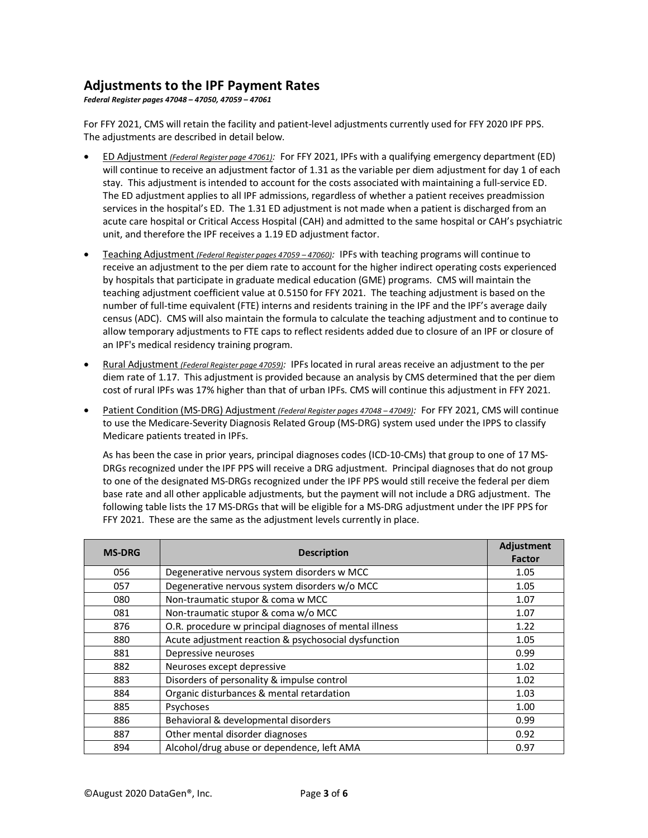#### **Adjustments to the IPF Payment Rates**

*Federal Register pages 47048 – 47050, 47059 – 47061*

For FFY 2021, CMS will retain the facility and patient-level adjustments currently used for FFY 2020 IPF PPS. The adjustments are described in detail below.

- ED Adjustment *(Federal Register page 47061):* For FFY 2021, IPFs with a qualifying emergency department (ED) will continue to receive an adjustment factor of 1.31 as the variable per diem adjustment for day 1 of each stay. This adjustment is intended to account for the costs associated with maintaining a full-service ED. The ED adjustment applies to all IPF admissions, regardless of whether a patient receives preadmission services in the hospital's ED. The 1.31 ED adjustment is not made when a patient is discharged from an acute care hospital or Critical Access Hospital (CAH) and admitted to the same hospital or CAH's psychiatric unit, and therefore the IPF receives a 1.19 ED adjustment factor.
- Teaching Adjustment *(Federal Register pages 47059 – 47060):* IPFs with teaching programs will continue to receive an adjustment to the per diem rate to account for the higher indirect operating costs experienced by hospitals that participate in graduate medical education (GME) programs. CMS will maintain the teaching adjustment coefficient value at 0.5150 for FFY 2021. The teaching adjustment is based on the number of full-time equivalent (FTE) interns and residents training in the IPF and the IPF's average daily census (ADC). CMS will also maintain the formula to calculate the teaching adjustment and to continue to allow temporary adjustments to FTE caps to reflect residents added due to closure of an IPF or closure of an IPF's medical residency training program.
- Rural Adjustment *(Federal Register page 47059):* IPFs located in rural areas receive an adjustment to the per diem rate of 1.17. This adjustment is provided because an analysis by CMS determined that the per diem cost of rural IPFs was 17% higher than that of urban IPFs. CMS will continue this adjustment in FFY 2021.
- Patient Condition (MS-DRG) Adjustment *(Federal Register pages 47048 – 47049):* For FFY 2021, CMS will continue to use the Medicare-Severity Diagnosis Related Group (MS-DRG) system used under the IPPS to classify Medicare patients treated in IPFs.

As has been the case in prior years, principal diagnoses codes (ICD-10-CMs) that group to one of 17 MS-DRGs recognized under the IPF PPS will receive a DRG adjustment. Principal diagnoses that do not group to one of the designated MS-DRGs recognized under the IPF PPS would still receive the federal per diem base rate and all other applicable adjustments, but the payment will not include a DRG adjustment. The following table lists the 17 MS-DRGs that will be eligible for a MS-DRG adjustment under the IPF PPS for FFY 2021. These are the same as the adjustment levels currently in place.

| <b>MS-DRG</b> | <b>Description</b>                                     | Adjustment<br>Factor |
|---------------|--------------------------------------------------------|----------------------|
| 056           | Degenerative nervous system disorders w MCC            | 1.05                 |
| 057           | Degenerative nervous system disorders w/o MCC          | 1.05                 |
| 080           | Non-traumatic stupor & coma w MCC                      | 1.07                 |
| 081           | Non-traumatic stupor & coma w/o MCC                    | 1.07                 |
| 876           | O.R. procedure w principal diagnoses of mental illness | 1.22                 |
| 880           | Acute adjustment reaction & psychosocial dysfunction   | 1.05                 |
| 881           | Depressive neuroses                                    | 0.99                 |
| 882           | Neuroses except depressive                             | 1.02                 |
| 883           | Disorders of personality & impulse control             | 1.02                 |
| 884           | Organic disturbances & mental retardation              | 1.03                 |
| 885           | Psychoses                                              | 1.00                 |
| 886           | Behavioral & developmental disorders                   | 0.99                 |
| 887           | Other mental disorder diagnoses                        | 0.92                 |
| 894           | Alcohol/drug abuse or dependence, left AMA             | 0.97                 |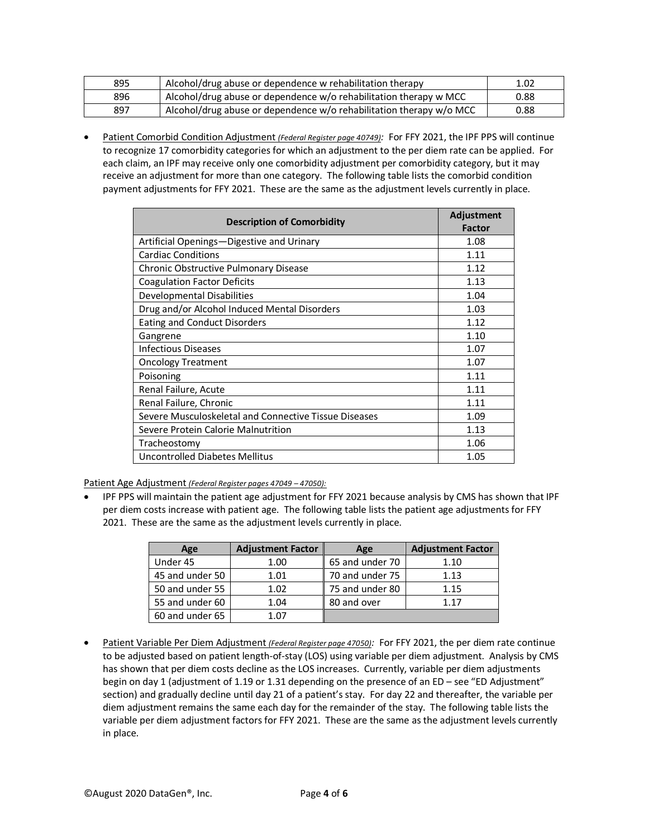| 895 | Alcohol/drug abuse or dependence w rehabilitation therapy           | 1.02 |
|-----|---------------------------------------------------------------------|------|
| 896 | Alcohol/drug abuse or dependence w/o rehabilitation therapy w MCC   | 0.88 |
| 897 | Alcohol/drug abuse or dependence w/o rehabilitation therapy w/o MCC | 0.88 |

• Patient Comorbid Condition Adjustment *(Federal Register page 40749):* For FFY 2021, the IPF PPS will continue to recognize 17 comorbidity categories for which an adjustment to the per diem rate can be applied. For each claim, an IPF may receive only one comorbidity adjustment per comorbidity category, but it may receive an adjustment for more than one category. The following table lists the comorbid condition payment adjustments for FFY 2021. These are the same as the adjustment levels currently in place.

| <b>Description of Comorbidity</b>                     | Adjustment<br><b>Factor</b> |
|-------------------------------------------------------|-----------------------------|
| Artificial Openings-Digestive and Urinary             | 1.08                        |
| <b>Cardiac Conditions</b>                             | 1.11                        |
| Chronic Obstructive Pulmonary Disease                 | 1.12                        |
| <b>Coagulation Factor Deficits</b>                    | 1.13                        |
| Developmental Disabilities                            | 1.04                        |
| Drug and/or Alcohol Induced Mental Disorders          | 1.03                        |
| <b>Eating and Conduct Disorders</b>                   | 1.12                        |
| Gangrene                                              | 1.10                        |
| <b>Infectious Diseases</b>                            | 1.07                        |
| <b>Oncology Treatment</b>                             | 1.07                        |
| Poisoning                                             | 1.11                        |
| Renal Failure, Acute                                  | 1.11                        |
| Renal Failure, Chronic                                | 1.11                        |
| Severe Musculoskeletal and Connective Tissue Diseases | 1.09                        |
| Severe Protein Calorie Malnutrition                   | 1.13                        |
| Tracheostomy                                          | 1.06                        |
| Uncontrolled Diabetes Mellitus                        | 1.05                        |

Patient Age Adjustment *(Federal Register pages 47049 – 47050):*

• IPF PPS will maintain the patient age adjustment for FFY 2021 because analysis by CMS has shown that IPF per diem costs increase with patient age. The following table lists the patient age adjustments for FFY 2021. These are the same as the adjustment levels currently in place.

| Age             | <b>Adjustment Factor</b> | Age             | <b>Adjustment Factor</b> |
|-----------------|--------------------------|-----------------|--------------------------|
| Under 45        | 1.00                     | 65 and under 70 | 1.10                     |
| 45 and under 50 | 1.01                     | 70 and under 75 | 1.13                     |
| 50 and under 55 | 1.02                     | 75 and under 80 | 1.15                     |
| 55 and under 60 | 1.04                     | 80 and over     | 1 1 7                    |
| 60 and under 65 | 1 07                     |                 |                          |

• Patient Variable Per Diem Adjustment *(Federal Register page 47050):* For FFY 2021, the per diem rate continue to be adjusted based on patient length-of-stay (LOS) using variable per diem adjustment. Analysis by CMS has shown that per diem costs decline as the LOS increases. Currently, variable per diem adjustments begin on day 1 (adjustment of 1.19 or 1.31 depending on the presence of an ED – see "ED Adjustment" section) and gradually decline until day 21 of a patient's stay. For day 22 and thereafter, the variable per diem adjustment remains the same each day for the remainder of the stay. The following table lists the variable per diem adjustment factors for FFY 2021. These are the same as the adjustment levels currently in place.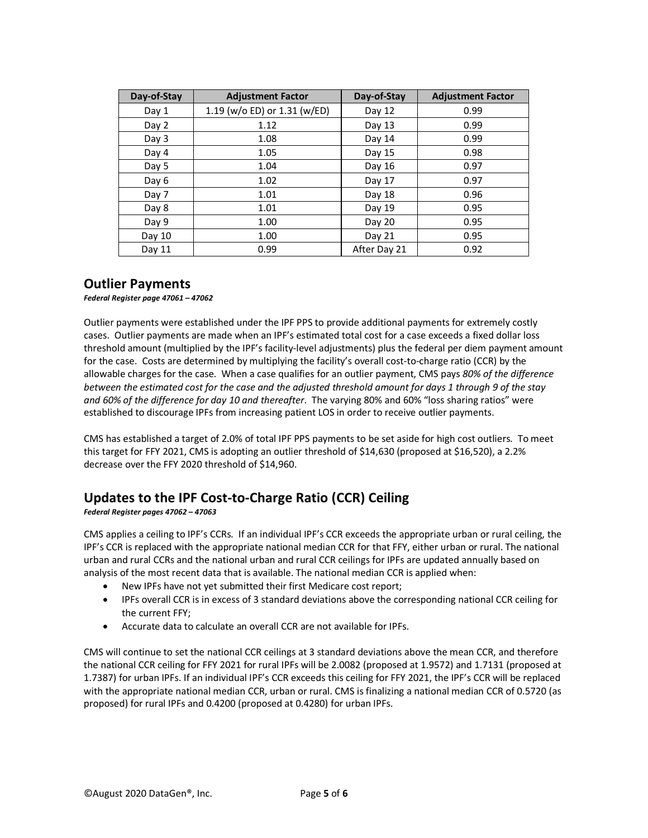| Day-of-Stay | <b>Adjustment Factor</b>     | Day-of-Stay  | <b>Adjustment Factor</b> |
|-------------|------------------------------|--------------|--------------------------|
| Day 1       | 1.19 (w/o ED) or 1.31 (w/ED) | Day 12       | 0.99                     |
| Day 2       | 1.12                         | Day 13       | 0.99                     |
| Day 3       | 1.08                         | Day 14       | 0.99                     |
| Day 4       | 1.05                         | Day 15       | 0.98                     |
| Day 5       | 1.04                         | Day 16       | 0.97                     |
| Day 6       | 1.02                         | Day 17       | 0.97                     |
| Day 7       | 1.01                         | Day 18       | 0.96                     |
| Day 8       | 1.01                         | Day 19       | 0.95                     |
| Day 9       | 1.00                         | Day 20       | 0.95                     |
| Day 10      | 1.00                         | Day 21       | 0.95                     |
| Day 11      | 0.99                         | After Day 21 | 0.92                     |

#### **Outlier Payments**

*Federal Register page 47061 – 47062* 

Outlier payments were established under the IPF PPS to provide additional payments for extremely costly cases. Outlier payments are made when an IPF's estimated total cost for a case exceeds a fixed dollar loss threshold amount (multiplied by the IPF's facility-level adjustments) plus the federal per diem payment amount for the case. Costs are determined by multiplying the facility's overall cost-to-charge ratio (CCR) by the allowable charges for the case. When a case qualifies for an outlier payment, CMS pays *80% of the difference between the estimated cost for the case and the adjusted threshold amount for days 1 through 9 of the stay and 60% of the difference for day 10 and thereafter*. The varying 80% and 60% "loss sharing ratios" were established to discourage IPFs from increasing patient LOS in order to receive outlier payments.

CMS has established a target of 2.0% of total IPF PPS payments to be set aside for high cost outliers. To meet this target for FFY 2021, CMS is adopting an outlier threshold of \$14,630 (proposed at \$16,520), a 2.2% decrease over the FFY 2020 threshold of \$14,960.

## **Updates to the IPF Cost-to-Charge Ratio (CCR) Ceiling**

*Federal Register pages 47062 – 47063* 

CMS applies a ceiling to IPF's CCRs. If an individual IPF's CCR exceeds the appropriate urban or rural ceiling, the IPF's CCR is replaced with the appropriate national median CCR for that FFY, either urban or rural. The national urban and rural CCRs and the national urban and rural CCR ceilings for IPFs are updated annually based on analysis of the most recent data that is available. The national median CCR is applied when:

- New IPFs have not yet submitted their first Medicare cost report;
- IPFs overall CCR is in excess of 3 standard deviations above the corresponding national CCR ceiling for the current FFY;
- Accurate data to calculate an overall CCR are not available for IPFs.

CMS will continue to set the national CCR ceilings at 3 standard deviations above the mean CCR, and therefore the national CCR ceiling for FFY 2021 for rural IPFs will be 2.0082 (proposed at 1.9572) and 1.7131 (proposed at 1.7387) for urban IPFs. If an individual IPF's CCR exceeds this ceiling for FFY 2021, the IPF's CCR will be replaced with the appropriate national median CCR, urban or rural. CMS is finalizing a national median CCR of 0.5720 (as proposed) for rural IPFs and 0.4200 (proposed at 0.4280) for urban IPFs.